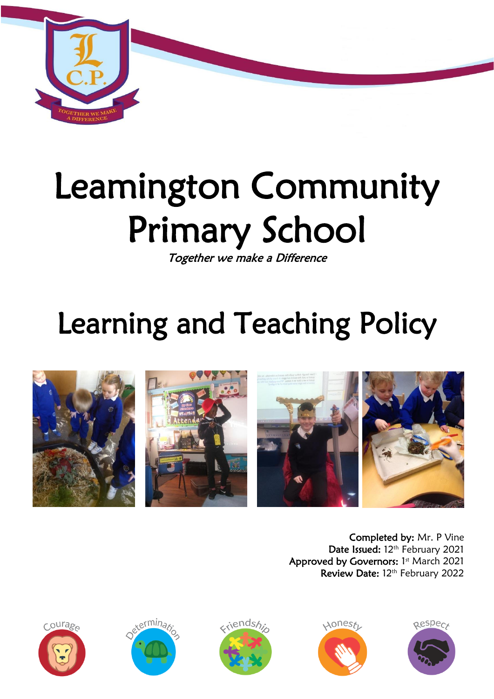

# Leamington Community Primary School

Together we make a Difference

# Learning and Teaching Policy



Completed by: Mr. P Vine Date Issued: 12<sup>th</sup> February 2021 Approved by Governors: 1st March 2021 Review Date: 12<sup>th</sup> February 2022









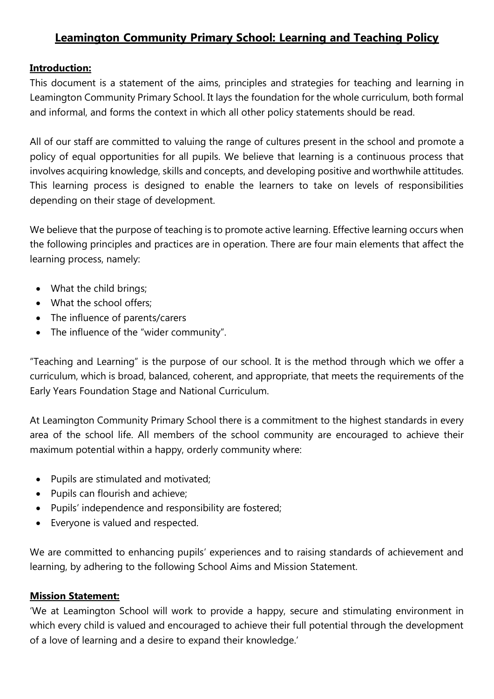# **Leamington Community Primary School: Learning and Teaching Policy**

#### **Introduction:**

This document is a statement of the aims, principles and strategies for teaching and learning in Leamington Community Primary School. It lays the foundation for the whole curriculum, both formal and informal, and forms the context in which all other policy statements should be read.

All of our staff are committed to valuing the range of cultures present in the school and promote a policy of equal opportunities for all pupils. We believe that learning is a continuous process that involves acquiring knowledge, skills and concepts, and developing positive and worthwhile attitudes. This learning process is designed to enable the learners to take on levels of responsibilities depending on their stage of development.

We believe that the purpose of teaching is to promote active learning. Effective learning occurs when the following principles and practices are in operation. There are four main elements that affect the learning process, namely:

- What the child brings;
- What the school offers:
- The influence of parents/carers
- The influence of the "wider community".

"Teaching and Learning" is the purpose of our school. It is the method through which we offer a curriculum, which is broad, balanced, coherent, and appropriate, that meets the requirements of the Early Years Foundation Stage and National Curriculum.

At Leamington Community Primary School there is a commitment to the highest standards in every area of the school life. All members of the school community are encouraged to achieve their maximum potential within a happy, orderly community where:

- Pupils are stimulated and motivated;
- Pupils can flourish and achieve;
- Pupils' independence and responsibility are fostered;
- Everyone is valued and respected.

We are committed to enhancing pupils' experiences and to raising standards of achievement and learning, by adhering to the following School Aims and Mission Statement.

# **Mission Statement:**

'We at Leamington School will work to provide a happy, secure and stimulating environment in which every child is valued and encouraged to achieve their full potential through the development of a love of learning and a desire to expand their knowledge.'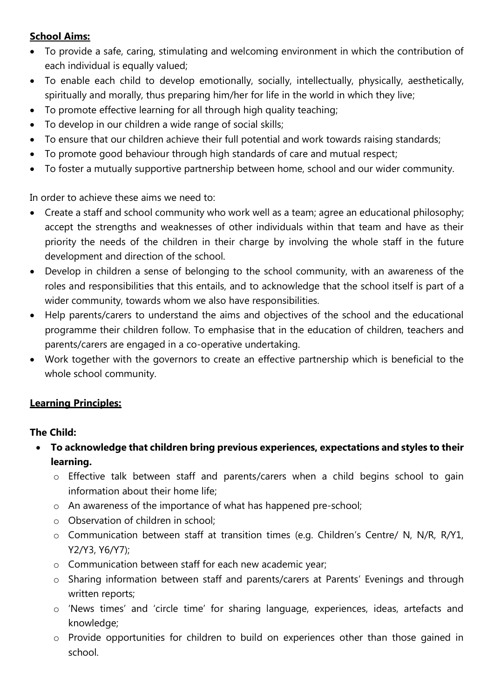# **School Aims:**

- To provide a safe, caring, stimulating and welcoming environment in which the contribution of each individual is equally valued;
- To enable each child to develop emotionally, socially, intellectually, physically, aesthetically, spiritually and morally, thus preparing him/her for life in the world in which they live;
- To promote effective learning for all through high quality teaching;
- To develop in our children a wide range of social skills;
- To ensure that our children achieve their full potential and work towards raising standards;
- To promote good behaviour through high standards of care and mutual respect;
- To foster a mutually supportive partnership between home, school and our wider community.

In order to achieve these aims we need to:

- Create a staff and school community who work well as a team; agree an educational philosophy; accept the strengths and weaknesses of other individuals within that team and have as their priority the needs of the children in their charge by involving the whole staff in the future development and direction of the school.
- Develop in children a sense of belonging to the school community, with an awareness of the roles and responsibilities that this entails, and to acknowledge that the school itself is part of a wider community, towards whom we also have responsibilities.
- Help parents/carers to understand the aims and objectives of the school and the educational programme their children follow. To emphasise that in the education of children, teachers and parents/carers are engaged in a co-operative undertaking.
- Work together with the governors to create an effective partnership which is beneficial to the whole school community.

# **Learning Principles:**

# **The Child:**

- **To acknowledge that children bring previous experiences, expectations and styles to their learning.**
	- o Effective talk between staff and parents/carers when a child begins school to gain information about their home life;
	- o An awareness of the importance of what has happened pre-school;
	- o Observation of children in school;
	- o Communication between staff at transition times (e.g. Children's Centre/ N, N/R, R/Y1, Y2/Y3, Y6/Y7);
	- o Communication between staff for each new academic year;
	- o Sharing information between staff and parents/carers at Parents' Evenings and through written reports;
	- o 'News times' and 'circle time' for sharing language, experiences, ideas, artefacts and knowledge;
	- o Provide opportunities for children to build on experiences other than those gained in school.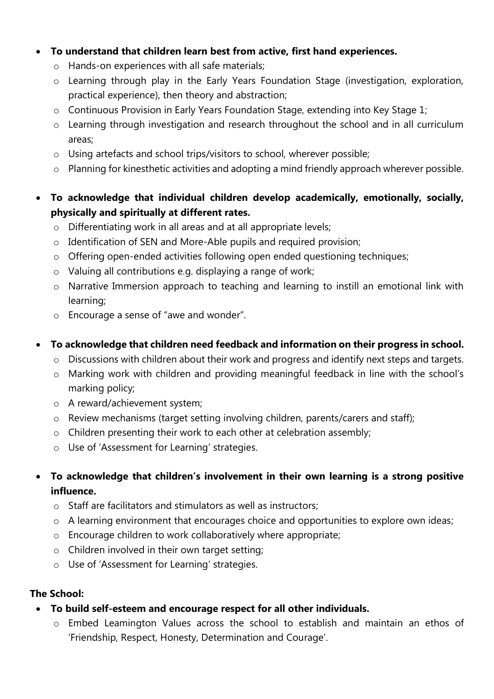#### **To understand that children learn best from active, first hand experiences.**

- o Hands-on experiences with all safe materials;
- o Learning through play in the Early Years Foundation Stage (investigation, exploration, practical experience), then theory and abstraction;
- o Continuous Provision in Early Years Foundation Stage, extending into Key Stage 1;
- o Learning through investigation and research throughout the school and in all curriculum areas;
- o Using artefacts and school trips/visitors to school, wherever possible;
- o Planning for kinesthetic activities and adopting a mind friendly approach wherever possible.
- **To acknowledge that individual children develop academically, emotionally, socially, physically and spiritually at different rates.**
	- o Differentiating work in all areas and at all appropriate levels;
	- o Identification of SEN and More-Able pupils and required provision;
	- o Offering open-ended activities following open ended questioning techniques;
	- o Valuing all contributions e.g. displaying a range of work;
	- o Narrative Immersion approach to teaching and learning to instill an emotional link with learning;
	- o Encourage a sense of "awe and wonder".
- **To acknowledge that children need feedback and information on their progress in school.**
	- o Discussions with children about their work and progress and identify next steps and targets.
	- o Marking work with children and providing meaningful feedback in line with the school's marking policy;
	- o A reward/achievement system;
	- o Review mechanisms (target setting involving children, parents/carers and staff);
	- o Children presenting their work to each other at celebration assembly;
	- o Use of 'Assessment for Learning' strategies.
- **To acknowledge that children's involvement in their own learning is a strong positive influence.**
	- o Staff are facilitators and stimulators as well as instructors;
	- o A learning environment that encourages choice and opportunities to explore own ideas;
	- o Encourage children to work collaboratively where appropriate;
	- o Children involved in their own target setting;
	- o Use of 'Assessment for Learning' strategies.

#### **The School:**

- **To build self-esteem and encourage respect for all other individuals.**
	- o Embed Leamington Values across the school to establish and maintain an ethos of 'Friendship, Respect, Honesty, Determination and Courage'.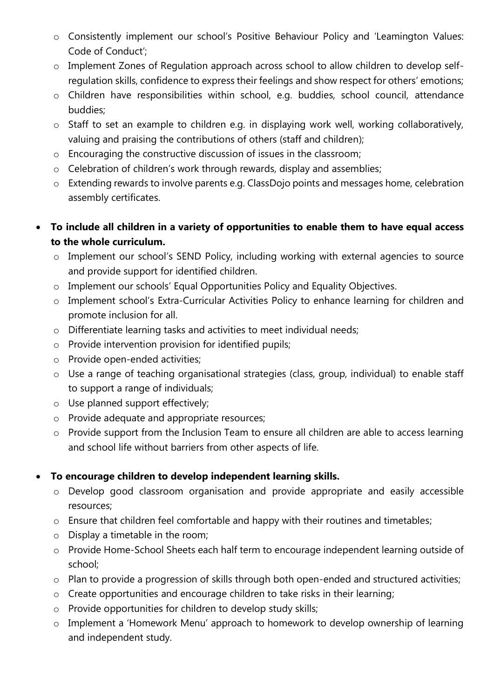- o Consistently implement our school's Positive Behaviour Policy and 'Leamington Values: Code of Conduct';
- o Implement Zones of Regulation approach across school to allow children to develop selfregulation skills, confidence to express their feelings and show respect for others' emotions;
- o Children have responsibilities within school, e.g. buddies, school council, attendance buddies;
- o Staff to set an example to children e.g. in displaying work well, working collaboratively, valuing and praising the contributions of others (staff and children);
- o Encouraging the constructive discussion of issues in the classroom;
- o Celebration of children's work through rewards, display and assemblies;
- o Extending rewards to involve parents e.g. ClassDojo points and messages home, celebration assembly certificates.
- **To include all children in a variety of opportunities to enable them to have equal access to the whole curriculum.** 
	- o Implement our school's SEND Policy, including working with external agencies to source and provide support for identified children.
	- o Implement our schools' Equal Opportunities Policy and Equality Objectives.
	- o Implement school's Extra-Curricular Activities Policy to enhance learning for children and promote inclusion for all.
	- o Differentiate learning tasks and activities to meet individual needs;
	- o Provide intervention provision for identified pupils;
	- o Provide open-ended activities;
	- o Use a range of teaching organisational strategies (class, group, individual) to enable staff to support a range of individuals;
	- o Use planned support effectively;
	- o Provide adequate and appropriate resources;
	- o Provide support from the Inclusion Team to ensure all children are able to access learning and school life without barriers from other aspects of life.

# **To encourage children to develop independent learning skills.**

- o Develop good classroom organisation and provide appropriate and easily accessible resources;
- o Ensure that children feel comfortable and happy with their routines and timetables;
- o Display a timetable in the room;
- o Provide Home-School Sheets each half term to encourage independent learning outside of school;
- o Plan to provide a progression of skills through both open-ended and structured activities;
- o Create opportunities and encourage children to take risks in their learning;
- o Provide opportunities for children to develop study skills;
- o Implement a 'Homework Menu' approach to homework to develop ownership of learning and independent study.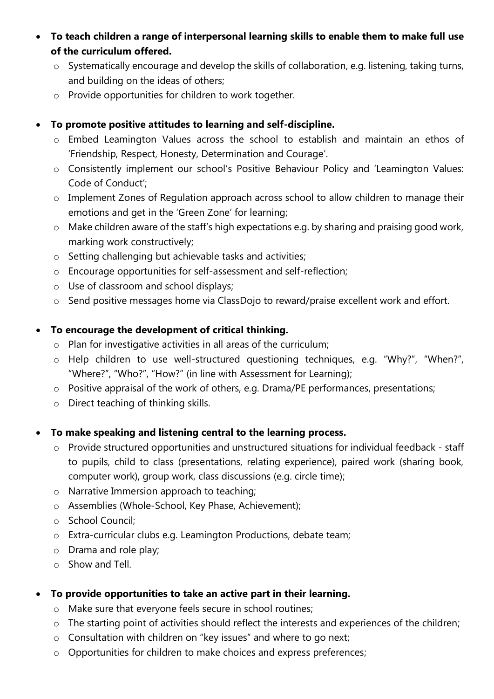- **To teach children a range of interpersonal learning skills to enable them to make full use of the curriculum offered.**
	- o Systematically encourage and develop the skills of collaboration, e.g. listening, taking turns, and building on the ideas of others;
	- o Provide opportunities for children to work together.

#### **To promote positive attitudes to learning and self-discipline.**

- o Embed Leamington Values across the school to establish and maintain an ethos of 'Friendship, Respect, Honesty, Determination and Courage'.
- o Consistently implement our school's Positive Behaviour Policy and 'Leamington Values: Code of Conduct';
- o Implement Zones of Regulation approach across school to allow children to manage their emotions and get in the 'Green Zone' for learning;
- o Make children aware of the staff's high expectations e.g. by sharing and praising good work, marking work constructively;
- o Setting challenging but achievable tasks and activities;
- o Encourage opportunities for self-assessment and self-reflection;
- o Use of classroom and school displays;
- o Send positive messages home via ClassDojo to reward/praise excellent work and effort.

#### **To encourage the development of critical thinking.**

- o Plan for investigative activities in all areas of the curriculum;
- o Help children to use well-structured questioning techniques, e.g. "Why?", "When?", "Where?", "Who?", "How?" (in line with Assessment for Learning);
- o Positive appraisal of the work of others, e.g. Drama/PE performances, presentations;
- o Direct teaching of thinking skills.

# **To make speaking and listening central to the learning process.**

- o Provide structured opportunities and unstructured situations for individual feedback staff to pupils, child to class (presentations, relating experience), paired work (sharing book, computer work), group work, class discussions (e.g. circle time);
- o Narrative Immersion approach to teaching;
- o Assemblies (Whole-School, Key Phase, Achievement);
- o School Council;
- o Extra-curricular clubs e.g. Leamington Productions, debate team;
- o Drama and role play;
- o Show and Tell.

# **To provide opportunities to take an active part in their learning.**

- o Make sure that everyone feels secure in school routines;
- o The starting point of activities should reflect the interests and experiences of the children;
- o Consultation with children on "key issues" and where to go next;
- o Opportunities for children to make choices and express preferences;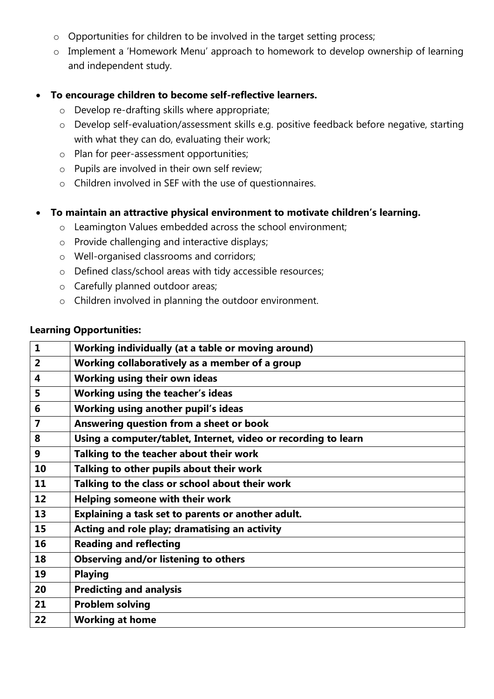- o Opportunities for children to be involved in the target setting process;
- o Implement a 'Homework Menu' approach to homework to develop ownership of learning and independent study.

#### **To encourage children to become self-reflective learners.**

- o Develop re-drafting skills where appropriate;
- o Develop self-evaluation/assessment skills e.g. positive feedback before negative, starting with what they can do, evaluating their work;
- o Plan for peer-assessment opportunities;
- o Pupils are involved in their own self review;
- o Children involved in SEF with the use of questionnaires.

#### **To maintain an attractive physical environment to motivate children's learning.**

- o Leamington Values embedded across the school environment;
- o Provide challenging and interactive displays;
- o Well-organised classrooms and corridors;
- o Defined class/school areas with tidy accessible resources;
- o Carefully planned outdoor areas;
- o Children involved in planning the outdoor environment.

#### **Learning Opportunities:**

| $\mathbf{1}$            | Working individually (at a table or moving around)             |
|-------------------------|----------------------------------------------------------------|
| $\overline{2}$          | Working collaboratively as a member of a group                 |
| $\overline{\mathbf{4}}$ | Working using their own ideas                                  |
| 5                       | <b>Working using the teacher's ideas</b>                       |
| 6                       | Working using another pupil's ideas                            |
| 7                       | Answering question from a sheet or book                        |
| 8                       | Using a computer/tablet, Internet, video or recording to learn |
| 9                       | Talking to the teacher about their work                        |
| 10                      | Talking to other pupils about their work                       |
| 11                      | Talking to the class or school about their work                |
| 12                      | Helping someone with their work                                |
| 13                      | Explaining a task set to parents or another adult.             |
| 15                      | Acting and role play; dramatising an activity                  |
| 16                      | <b>Reading and reflecting</b>                                  |
| 18                      | <b>Observing and/or listening to others</b>                    |
| 19                      | <b>Playing</b>                                                 |
| 20                      | <b>Predicting and analysis</b>                                 |
| 21                      | <b>Problem solving</b>                                         |
| 22                      | <b>Working at home</b>                                         |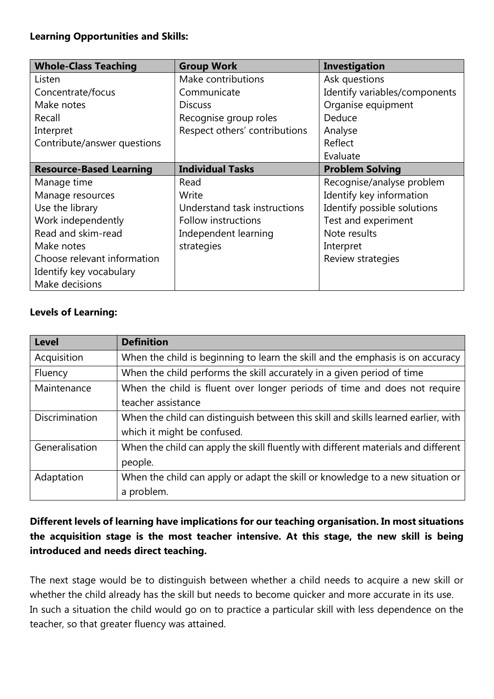#### **Learning Opportunities and Skills:**

| <b>Whole-Class Teaching</b>    | <b>Group Work</b>             | <b>Investigation</b>          |
|--------------------------------|-------------------------------|-------------------------------|
| Listen                         | Make contributions            | Ask questions                 |
| Concentrate/focus              | Communicate                   | Identify variables/components |
| Make notes                     | <b>Discuss</b>                | Organise equipment            |
| Recall                         | Recognise group roles         | Deduce                        |
| Interpret                      | Respect others' contributions | Analyse                       |
| Contribute/answer questions    |                               | Reflect                       |
|                                |                               | Evaluate                      |
| <b>Resource-Based Learning</b> | <b>Individual Tasks</b>       | <b>Problem Solving</b>        |
| Manage time                    | Read                          | Recognise/analyse problem     |
| Manage resources               | Write                         | Identify key information      |
| Use the library                | Understand task instructions  | Identify possible solutions   |
| Work independently             | Follow instructions           | Test and experiment           |
| Read and skim-read             | Independent learning          | Note results                  |
| Make notes                     | strategies                    | Interpret                     |
| Choose relevant information    |                               | Review strategies             |
| Identify key vocabulary        |                               |                               |
| Make decisions                 |                               |                               |

# **Levels of Learning:**

| <b>Level</b>          | <b>Definition</b>                                                                  |
|-----------------------|------------------------------------------------------------------------------------|
| Acquisition           | When the child is beginning to learn the skill and the emphasis is on accuracy     |
| Fluency               | When the child performs the skill accurately in a given period of time             |
| Maintenance           | When the child is fluent over longer periods of time and does not require          |
|                       | teacher assistance                                                                 |
| <b>Discrimination</b> | When the child can distinguish between this skill and skills learned earlier, with |
|                       | which it might be confused.                                                        |
| Generalisation        | When the child can apply the skill fluently with different materials and different |
|                       | people.                                                                            |
| Adaptation            | When the child can apply or adapt the skill or knowledge to a new situation or     |
|                       | a problem.                                                                         |

# **Different levels of learning have implications for our teaching organisation. In most situations the acquisition stage is the most teacher intensive. At this stage, the new skill is being introduced and needs direct teaching.**

The next stage would be to distinguish between whether a child needs to acquire a new skill or whether the child already has the skill but needs to become quicker and more accurate in its use. In such a situation the child would go on to practice a particular skill with less dependence on the teacher, so that greater fluency was attained.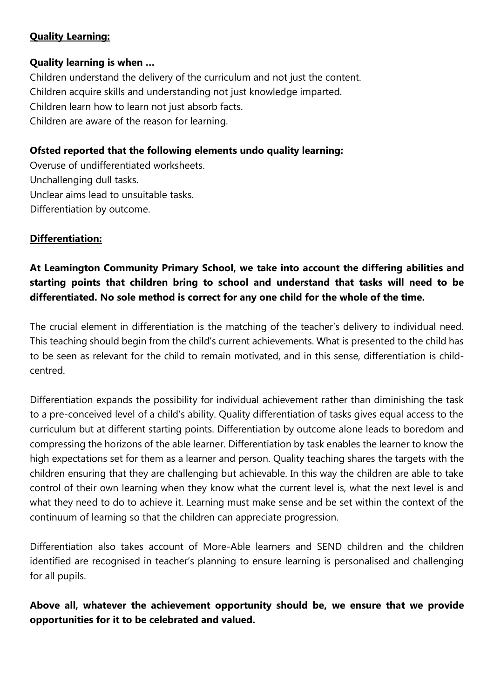# **Quality Learning:**

#### **Quality learning is when …**

Children understand the delivery of the curriculum and not just the content. Children acquire skills and understanding not just knowledge imparted. Children learn how to learn not just absorb facts. Children are aware of the reason for learning.

# **Ofsted reported that the following elements undo quality learning:**

Overuse of undifferentiated worksheets. Unchallenging dull tasks. Unclear aims lead to unsuitable tasks. Differentiation by outcome.

# **Differentiation:**

# **At Leamington Community Primary School, we take into account the differing abilities and starting points that children bring to school and understand that tasks will need to be differentiated. No sole method is correct for any one child for the whole of the time.**

The crucial element in differentiation is the matching of the teacher's delivery to individual need. This teaching should begin from the child's current achievements. What is presented to the child has to be seen as relevant for the child to remain motivated, and in this sense, differentiation is childcentred.

Differentiation expands the possibility for individual achievement rather than diminishing the task to a pre-conceived level of a child's ability. Quality differentiation of tasks gives equal access to the curriculum but at different starting points. Differentiation by outcome alone leads to boredom and compressing the horizons of the able learner. Differentiation by task enables the learner to know the high expectations set for them as a learner and person. Quality teaching shares the targets with the children ensuring that they are challenging but achievable. In this way the children are able to take control of their own learning when they know what the current level is, what the next level is and what they need to do to achieve it. Learning must make sense and be set within the context of the continuum of learning so that the children can appreciate progression.

Differentiation also takes account of More-Able learners and SEND children and the children identified are recognised in teacher's planning to ensure learning is personalised and challenging for all pupils.

**Above all, whatever the achievement opportunity should be, we ensure that we provide opportunities for it to be celebrated and valued.**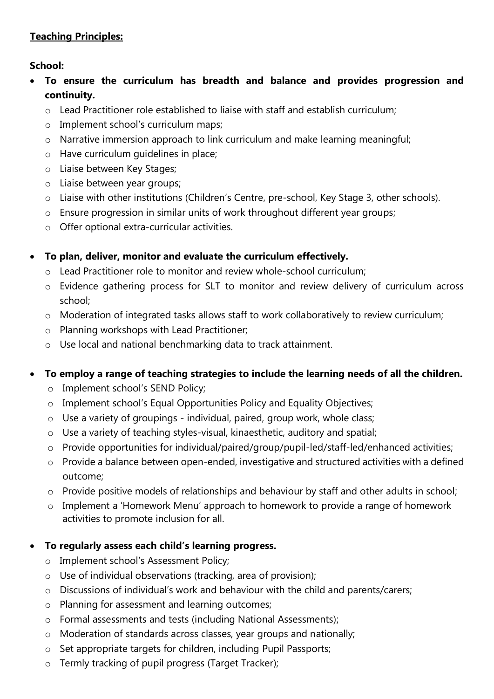# **Teaching Principles:**

# **School:**

- **To ensure the curriculum has breadth and balance and provides progression and continuity.**
	- o Lead Practitioner role established to liaise with staff and establish curriculum;
	- o Implement school's curriculum maps;
	- o Narrative immersion approach to link curriculum and make learning meaningful;
	- o Have curriculum guidelines in place;
	- o Liaise between Key Stages;
	- o Liaise between year groups;
	- o Liaise with other institutions (Children's Centre, pre-school, Key Stage 3, other schools).
	- o Ensure progression in similar units of work throughout different year groups;
	- o Offer optional extra-curricular activities.

#### **To plan, deliver, monitor and evaluate the curriculum effectively.**

- o Lead Practitioner role to monitor and review whole-school curriculum;
- o Evidence gathering process for SLT to monitor and review delivery of curriculum across school;
- o Moderation of integrated tasks allows staff to work collaboratively to review curriculum;
- o Planning workshops with Lead Practitioner;
- o Use local and national benchmarking data to track attainment.

# **To employ a range of teaching strategies to include the learning needs of all the children.**

- o Implement school's SEND Policy;
- o Implement school's Equal Opportunities Policy and Equality Objectives;
- o Use a variety of groupings individual, paired, group work, whole class;
- o Use a variety of teaching styles-visual, kinaesthetic, auditory and spatial;
- o Provide opportunities for individual/paired/group/pupil-led/staff-led/enhanced activities;
- o Provide a balance between open-ended, investigative and structured activities with a defined outcome;
- o Provide positive models of relationships and behaviour by staff and other adults in school;
- o Implement a 'Homework Menu' approach to homework to provide a range of homework activities to promote inclusion for all.

# **To regularly assess each child's learning progress.**

- o Implement school's Assessment Policy;
- o Use of individual observations (tracking, area of provision);
- o Discussions of individual's work and behaviour with the child and parents/carers;
- o Planning for assessment and learning outcomes;
- o Formal assessments and tests (including National Assessments);
- o Moderation of standards across classes, year groups and nationally;
- o Set appropriate targets for children, including Pupil Passports;
- o Termly tracking of pupil progress (Target Tracker);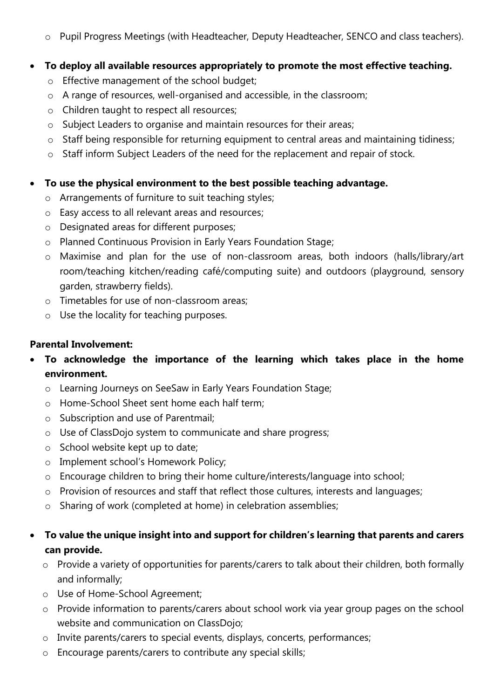o Pupil Progress Meetings (with Headteacher, Deputy Headteacher, SENCO and class teachers).

#### **To deploy all available resources appropriately to promote the most effective teaching.**

- o Effective management of the school budget;
- o A range of resources, well-organised and accessible, in the classroom;
- o Children taught to respect all resources;
- o Subject Leaders to organise and maintain resources for their areas;
- o Staff being responsible for returning equipment to central areas and maintaining tidiness;
- o Staff inform Subject Leaders of the need for the replacement and repair of stock.

# **To use the physical environment to the best possible teaching advantage.**

- o Arrangements of furniture to suit teaching styles;
- o Easy access to all relevant areas and resources;
- o Designated areas for different purposes;
- o Planned Continuous Provision in Early Years Foundation Stage;
- o Maximise and plan for the use of non-classroom areas, both indoors (halls/library/art room/teaching kitchen/reading café/computing suite) and outdoors (playground, sensory garden, strawberry fields).
- o Timetables for use of non-classroom areas;
- o Use the locality for teaching purposes.

# **Parental Involvement:**

- **To acknowledge the importance of the learning which takes place in the home environment.**
	- o Learning Journeys on SeeSaw in Early Years Foundation Stage;
	- o Home-School Sheet sent home each half term;
	- o Subscription and use of Parentmail;
	- o Use of ClassDojo system to communicate and share progress;
	- o School website kept up to date;
	- o Implement school's Homework Policy;
	- o Encourage children to bring their home culture/interests/language into school;
	- o Provision of resources and staff that reflect those cultures, interests and languages;
	- o Sharing of work (completed at home) in celebration assemblies;

# **To value the unique insight into and support for children's learning that parents and carers can provide.**

- o Provide a variety of opportunities for parents/carers to talk about their children, both formally and informally;
- o Use of Home-School Agreement;
- o Provide information to parents/carers about school work via year group pages on the school website and communication on ClassDojo;
- o Invite parents/carers to special events, displays, concerts, performances;
- o Encourage parents/carers to contribute any special skills;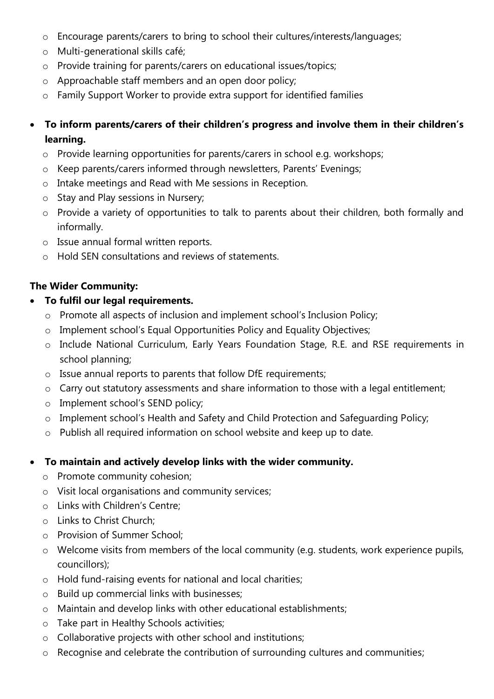- o Encourage parents/carers to bring to school their cultures/interests/languages;
- o Multi-generational skills café;
- o Provide training for parents/carers on educational issues/topics;
- o Approachable staff members and an open door policy;
- o Family Support Worker to provide extra support for identified families
- **To inform parents/carers of their children's progress and involve them in their children's learning.**
	- o Provide learning opportunities for parents/carers in school e.g. workshops;
	- o Keep parents/carers informed through newsletters, Parents' Evenings;
	- o Intake meetings and Read with Me sessions in Reception.
	- o Stay and Play sessions in Nursery;
	- o Provide a variety of opportunities to talk to parents about their children, both formally and informally.
	- o Issue annual formal written reports.
	- o Hold SEN consultations and reviews of statements.

#### **The Wider Community:**

#### **To fulfil our legal requirements.**

- o Promote all aspects of inclusion and implement school's Inclusion Policy;
- o Implement school's Equal Opportunities Policy and Equality Objectives;
- o Include National Curriculum, Early Years Foundation Stage, R.E. and RSE requirements in school planning;
- o Issue annual reports to parents that follow DfE requirements;
- o Carry out statutory assessments and share information to those with a legal entitlement;
- o Implement school's SEND policy;
- o Implement school's Health and Safety and Child Protection and Safeguarding Policy;
- o Publish all required information on school website and keep up to date.

# **To maintain and actively develop links with the wider community.**

- o Promote community cohesion;
- o Visit local organisations and community services;
- o Links with Children's Centre;
- o Links to Christ Church;
- o Provision of Summer School;
- o Welcome visits from members of the local community (e.g. students, work experience pupils, councillors);
- o Hold fund-raising events for national and local charities;
- o Build up commercial links with businesses;
- o Maintain and develop links with other educational establishments;
- o Take part in Healthy Schools activities;
- o Collaborative projects with other school and institutions;
- o Recognise and celebrate the contribution of surrounding cultures and communities;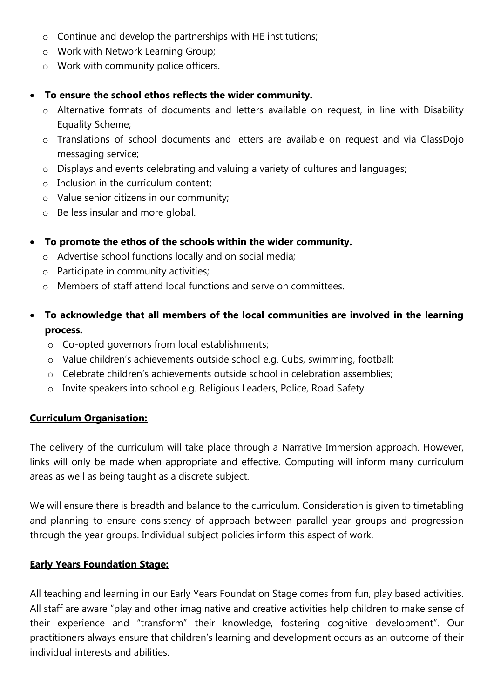- o Continue and develop the partnerships with HE institutions;
- o Work with Network Learning Group;
- o Work with community police officers.

#### **To ensure the school ethos reflects the wider community.**

- o Alternative formats of documents and letters available on request, in line with Disability Equality Scheme;
- o Translations of school documents and letters are available on request and via ClassDojo messaging service;
- o Displays and events celebrating and valuing a variety of cultures and languages;
- o Inclusion in the curriculum content;
- o Value senior citizens in our community;
- o Be less insular and more global.

#### **To promote the ethos of the schools within the wider community.**

- o Advertise school functions locally and on social media;
- o Participate in community activities;
- o Members of staff attend local functions and serve on committees.
- **To acknowledge that all members of the local communities are involved in the learning process.**
	- o Co-opted governors from local establishments;
	- o Value children's achievements outside school e.g. Cubs, swimming, football;
	- o Celebrate children's achievements outside school in celebration assemblies;
	- o Invite speakers into school e.g. Religious Leaders, Police, Road Safety.

#### **Curriculum Organisation:**

The delivery of the curriculum will take place through a Narrative Immersion approach. However, links will only be made when appropriate and effective. Computing will inform many curriculum areas as well as being taught as a discrete subject.

We will ensure there is breadth and balance to the curriculum. Consideration is given to timetabling and planning to ensure consistency of approach between parallel year groups and progression through the year groups. Individual subject policies inform this aspect of work.

#### **Early Years Foundation Stage:**

All teaching and learning in our Early Years Foundation Stage comes from fun, play based activities. All staff are aware "play and other imaginative and creative activities help children to make sense of their experience and "transform" their knowledge, fostering cognitive development". Our practitioners always ensure that children's learning and development occurs as an outcome of their individual interests and abilities.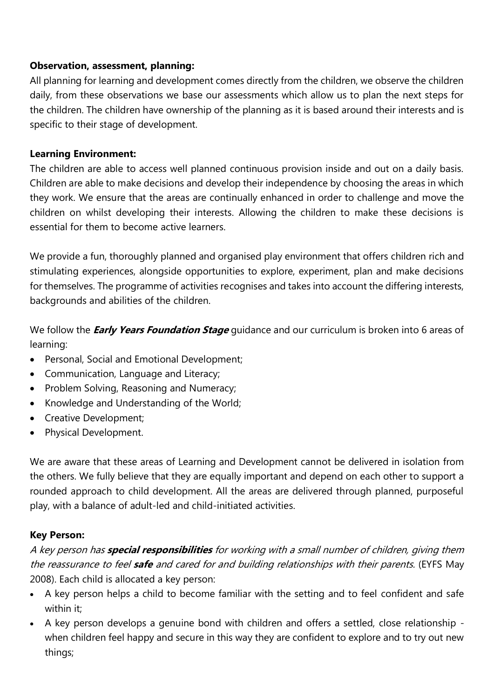#### **Observation, assessment, planning:**

All planning for learning and development comes directly from the children, we observe the children daily, from these observations we base our assessments which allow us to plan the next steps for the children. The children have ownership of the planning as it is based around their interests and is specific to their stage of development.

#### **Learning Environment:**

The children are able to access well planned continuous provision inside and out on a daily basis. Children are able to make decisions and develop their independence by choosing the areas in which they work. We ensure that the areas are continually enhanced in order to challenge and move the children on whilst developing their interests. Allowing the children to make these decisions is essential for them to become active learners.

We provide a fun, thoroughly planned and organised play environment that offers children rich and stimulating experiences, alongside opportunities to explore, experiment, plan and make decisions for themselves. The programme of activities recognises and takes into account the differing interests, backgrounds and abilities of the children.

We follow the **Early Years Foundation Stage** guidance and our curriculum is broken into 6 areas of learning:

- Personal, Social and Emotional Development;
- Communication, Language and Literacy;
- Problem Solving, Reasoning and Numeracy;
- Knowledge and Understanding of the World;
- Creative Development;
- Physical Development.

We are aware that these areas of Learning and Development cannot be delivered in isolation from the others. We fully believe that they are equally important and depend on each other to support a rounded approach to child development. All the areas are delivered through planned, purposeful play, with a balance of adult-led and child-initiated activities.

# **Key Person:**

A key person has **special responsibilities** for working with a small number of children, giving them the reassurance to feel **safe** and cared for and building relationships with their parents. (EYFS May 2008). Each child is allocated a key person:

- A key person helps a child to become familiar with the setting and to feel confident and safe within it;
- A key person develops a genuine bond with children and offers a settled, close relationship when children feel happy and secure in this way they are confident to explore and to try out new things;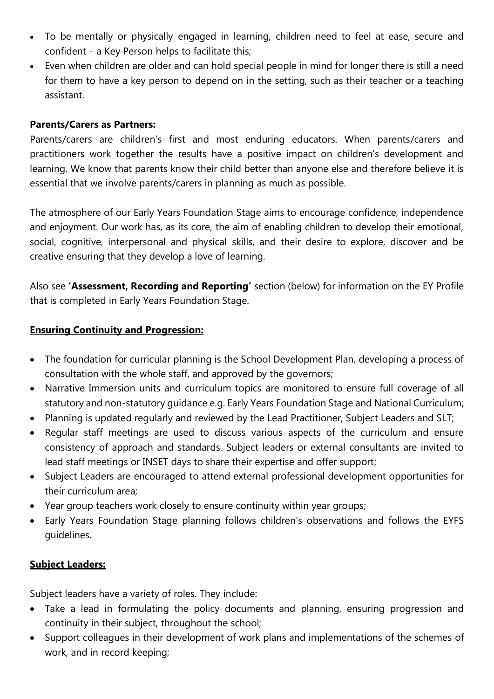- To be mentally or physically engaged in learning, children need to feel at ease, secure and confident – a Key Person helps to facilitate this;
- Even when children are older and can hold special people in mind for longer there is still a need for them to have a key person to depend on in the setting, such as their teacher or a teaching assistant.

#### **Parents/Carers as Partners:**

Parents/carers are children's first and most enduring educators. When parents/carers and practitioners work together the results have a positive impact on children's development and learning. We know that parents know their child better than anyone else and therefore believe it is essential that we involve parents/carers in planning as much as possible.

The atmosphere of our Early Years Foundation Stage aims to encourage confidence, independence and enjoyment. Our work has, as its core, the aim of enabling children to develop their emotional, social, cognitive, interpersonal and physical skills, and their desire to explore, discover and be creative ensuring that they develop a love of learning.

Also see **'Assessment, Recording and Reporting'** section (below) for information on the EY Profile that is completed in Early Years Foundation Stage.

#### **Ensuring Continuity and Progression:**

- The foundation for curricular planning is the School Development Plan, developing a process of consultation with the whole staff, and approved by the governors;
- Narrative Immersion units and curriculum topics are monitored to ensure full coverage of all statutory and non-statutory guidance e.g. Early Years Foundation Stage and National Curriculum;
- Planning is updated regularly and reviewed by the Lead Practitioner, Subject Leaders and SLT;
- Regular staff meetings are used to discuss various aspects of the curriculum and ensure consistency of approach and standards. Subject leaders or external consultants are invited to lead staff meetings or INSET days to share their expertise and offer support;
- Subject Leaders are encouraged to attend external professional development opportunities for their curriculum area;
- Year group teachers work closely to ensure continuity within year groups;
- Early Years Foundation Stage planning follows children's observations and follows the EYFS guidelines.

# **Subject Leaders:**

Subject leaders have a variety of roles. They include:

- Take a lead in formulating the policy documents and planning, ensuring progression and continuity in their subject, throughout the school;
- Support colleagues in their development of work plans and implementations of the schemes of work, and in record keeping;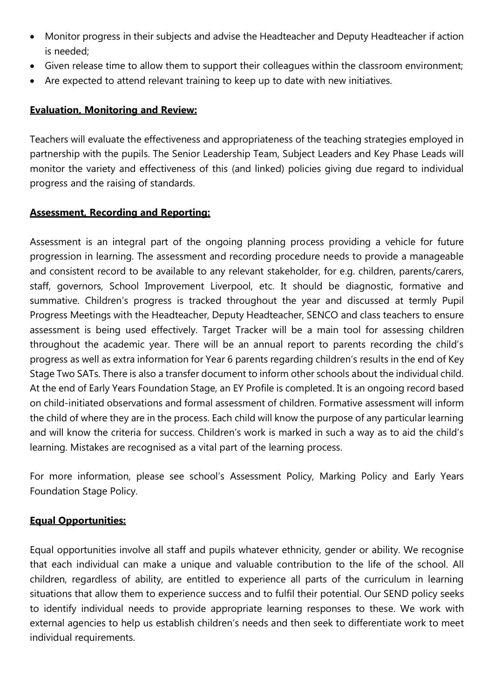- Monitor progress in their subjects and advise the Headteacher and Deputy Headteacher if action is needed;
- Given release time to allow them to support their colleagues within the classroom environment;
- Are expected to attend relevant training to keep up to date with new initiatives.

#### **Evaluation, Monitoring and Review:**

Teachers will evaluate the effectiveness and appropriateness of the teaching strategies employed in partnership with the pupils. The Senior Leadership Team, Subject Leaders and Key Phase Leads will monitor the variety and effectiveness of this (and linked) policies giving due regard to individual progress and the raising of standards.

#### **Assessment, Recording and Reporting:**

Assessment is an integral part of the ongoing planning process providing a vehicle for future progression in learning. The assessment and recording procedure needs to provide a manageable and consistent record to be available to any relevant stakeholder, for e.g. children, parents/carers, staff, governors, School Improvement Liverpool, etc. It should be diagnostic, formative and summative. Children's progress is tracked throughout the year and discussed at termly Pupil Progress Meetings with the Headteacher, Deputy Headteacher, SENCO and class teachers to ensure assessment is being used effectively. Target Tracker will be a main tool for assessing children throughout the academic year. There will be an annual report to parents recording the child's progress as well as extra information for Year 6 parents regarding children's results in the end of Key Stage Two SATs. There is also a transfer document to inform other schools about the individual child. At the end of Early Years Foundation Stage, an EY Profile is completed. It is an ongoing record based on child-initiated observations and formal assessment of children. Formative assessment will inform the child of where they are in the process. Each child will know the purpose of any particular learning and will know the criteria for success. Children's work is marked in such a way as to aid the child's learning. Mistakes are recognised as a vital part of the learning process.

For more information, please see school's Assessment Policy, Marking Policy and Early Years Foundation Stage Policy.

#### **Equal Opportunities:**

Equal opportunities involve all staff and pupils whatever ethnicity, gender or ability. We recognise that each individual can make a unique and valuable contribution to the life of the school. All children, regardless of ability, are entitled to experience all parts of the curriculum in learning situations that allow them to experience success and to fulfil their potential. Our SEND policy seeks to identify individual needs to provide appropriate learning responses to these. We work with external agencies to help us establish children's needs and then seek to differentiate work to meet individual requirements.